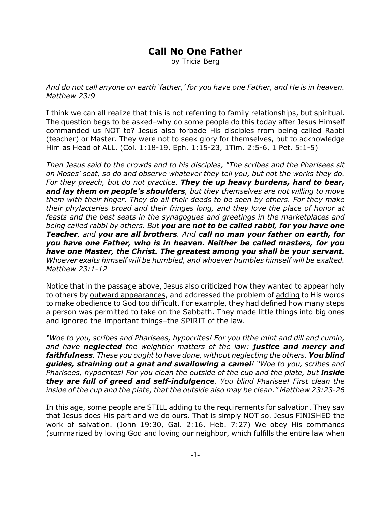## **Call No One Father**

by Tricia Berg

*And do not call anyone on earth 'father,' for you have one Father, and He is in heaven. Matthew 23:9*

I think we can all realize that this is not referring to family relationships, but spiritual. The question begs to be asked–why do some people do this today after Jesus Himself commanded us NOT to? Jesus also forbade His disciples from being called Rabbi (teacher) or Master. They were not to seek glory for themselves, but to acknowledge Him as Head of ALL. (Col. 1:18-19, Eph. 1:15-23, 1Tim. 2:5-6, 1 Pet. 5:1-5)

*Then Jesus said to the crowds and to his disciples, "The scribes and the Pharisees sit on Moses' seat, so do and observe whatever they tell you, but not the works they do. For they preach, but do not practice. They tie up heavy burdens, hard to bear, and lay them on people's shoulders, but they themselves are not willing to move them with their finger. They do all their deeds to be seen by others. For they make their phylacteries broad and their fringes long, and they love the place of honor at feasts and the best seats in the synagogues and greetings in the marketplaces and being called rabbi by others. But you are not to be called rabbi, for you have one Teacher, and you are all brothers. And call no man your father on earth, for you have one Father, who is in heaven. Neither be called masters, for you have one Master, the Christ. The greatest among you shall be your servant. Whoever exalts himself will be humbled, and whoever humbles himself will be exalted. Matthew 23:1-12*

Notice that in the passage above, Jesus also criticized how they wanted to appear holy to others by outward appearances, and addressed the problem of adding to His words to make obedience to God too difficult. For example, they had defined how many steps a person was permitted to take on the Sabbath. They made little things into big ones and ignored the important things–the SPIRIT of the law.

*"Woe to you, scribes and Pharisees, hypocrites! For you tithe mint and dill and cumin, and have neglected the weightier matters of the law: justice and mercy and faithfulness. These you ought to have done, without neglecting the others. You blind guides, straining out a gnat and swallowing a camel! "Woe to you, scribes and Pharisees, hypocrites! For you clean the outside of the cup and the plate, but inside they are full of greed and self-indulgence. You blind Pharisee! First clean the inside of the cup and the plate, that the outside also may be clean." Matthew 23:23-26*

In this age, some people are STILL adding to the requirements for salvation. They say that Jesus does His part and we do ours. That is simply NOT so. Jesus FINISHED the work of salvation. (John 19:30, Gal. 2:16, Heb. 7:27) We obey His commands (summarized by loving God and loving our neighbor, which fulfills the entire law when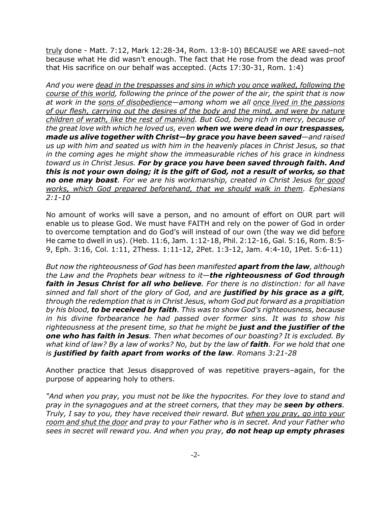truly done - Matt. 7:12, Mark 12:28-34, Rom. 13:8-10) BECAUSE we ARE saved–not because what He did wasn't enough. The fact that He rose from the dead was proof that His sacrifice on our behalf was accepted. (Acts 17:30-31, Rom. 1:4)

*And you were dead in the trespasses and sins in which you once walked, following the course of this world, following the prince of the power of the air, the spirit that is now at work in the sons of disobedience—among whom we all once lived in the passions of our flesh, carrying out the desires of the body and the mind, and were by nature children of wrath, like the rest of mankind. But God, being rich in mercy, because of the great love with which he loved us, even when we were dead in our trespasses, made us alive together with Christ—by grace you have been saved—and raised us up with him and seated us with him in the heavenly places in Christ Jesus, so that in the coming ages he might show the immeasurable riches of his grace in kindness toward us in Christ Jesus. For by grace you have been saved through faith. And this is not your own doing; it is the gift of God, not a result of works, so that no one may boast. For we are his workmanship, created in Christ Jesus for good works, which God prepared beforehand, that we should walk in them. Ephesians 2:1-10*

No amount of works will save a person, and no amount of effort on OUR part will enable us to please God. We must have FAITH and rely on the power of God in order to overcome temptation and do God's will instead of our own (the way we did before He came to dwell in us). (Heb. 11:6, Jam. 1:12-18, Phil. 2:12-16, Gal. 5:16, Rom. 8:5- 9, Eph. 3:16, Col. 1:11, 2Thess. 1:11-12, 2Pet. 1:3-12, Jam. 4:4-10, 1Pet. 5:6-11)

*But now the righteousness of God has been manifested apart from the law, although the Law and the Prophets bear witness to it—the righteousness of God through faith in Jesus Christ for all who believe. For there is no distinction: for all have sinned and fall short of the glory of God, and are justified by his grace as a gift, through the redemption that is in Christ Jesus, whom God put forward as a propitiation by his blood, to be received by faith. This was to show God's righteousness, because in his divine forbearance he had passed over former sins. It was to show his righteousness at the present time, so that he might be just and the justifier of the one who has faith in Jesus. Then what becomes of our boasting? It is excluded. By what kind of law? By a law of works? No, but by the law of faith. For we hold that one is justified by faith apart from works of the law. Romans 3:21-28*

Another practice that Jesus disapproved of was repetitive prayers–again, for the purpose of appearing holy to others.

*"And when you pray, you must not be like the hypocrites. For they love to stand and pray in the synagogues and at the street corners, that they may be seen by others. Truly, I say to you, they have received their reward. But when you pray, go into your room and shut the door and pray to your Father who is in secret. And your Father who sees in secret will reward you. And when you pray, do not heap up empty phrases*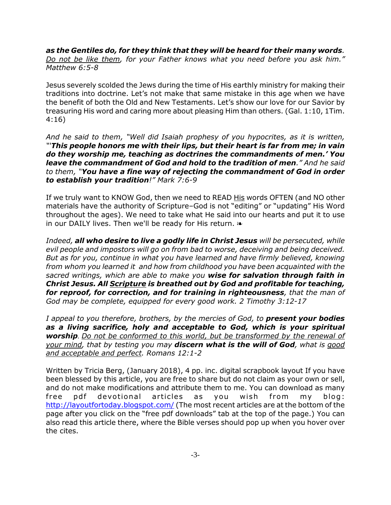*as the Gentiles do, for they think that they will be heard for their many words. Do not be like them, for your Father knows what you need before you ask him." Matthew 6:5-8*

Jesus severely scolded the Jews during the time of His earthly ministry for making their traditions into doctrine. Let's not make that same mistake in this age when we have the benefit of both the Old and New Testaments. Let's show our love for our Savior by treasuring His word and caring more about pleasing Him than others. (Gal. 1:10, 1Tim. 4:16)

*And he said to them, "Well did Isaiah prophesy of you hypocrites, as it is written, "'This people honors me with their lips, but their heart is far from me; in vain do they worship me, teaching as doctrines the commandments of men.' You leave the commandment of God and hold to the tradition of men." And he said to them, "You have a fine way of rejecting the commandment of God in order to establish your tradition!" Mark 7:6-9*

If we truly want to KNOW God, then we need to READ His words OFTEN (and NO other materials have the authority of Scripture–God is not "editing" or "updating" His Word throughout the ages). We need to take what He said into our hearts and put it to use in our DAILY lives. Then we'll be ready for His return.  $\ast$ 

*Indeed, all who desire to live a godly life in Christ Jesus will be persecuted, while evil people and impostors will go on from bad to worse, deceiving and being deceived. But as for you, continue in what you have learned and have firmly believed, knowing from whom you learned it and how from childhood you have been acquainted with the sacred writings, which are able to make you wise for salvation through faith in Christ Jesus. All Scripture is breathed out by God and profitable for teaching, for reproof, for correction, and for training in righteousness, that the man of God may be complete, equipped for every good work. 2 Timothy 3:12-17*

*I appeal to you therefore, brothers, by the mercies of God, to present your bodies as a living sacrifice, holy and acceptable to God, which is your spiritual worship. Do not be conformed to this world, but be transformed by the renewal of your mind, that by testing you may discern what is the will of God, what is good and acceptable and perfect. Romans 12:1-2*

Written by Tricia Berg, (January 2018), 4 pp. inc. digital scrapbook layout If you have been blessed by this article, you are free to share but do not claim as your own or sell, and do not make modifications and attribute them to me. You can download as many free pdf devotional articles as you wish from my blog: http://layoutfortoday.blogspot.com/ (The most recent articles are at the bottom of the page after you click on the "free pdf downloads" tab at the top of the page.) You can also read this article there, where the Bible verses should pop up when you hover over the cites.